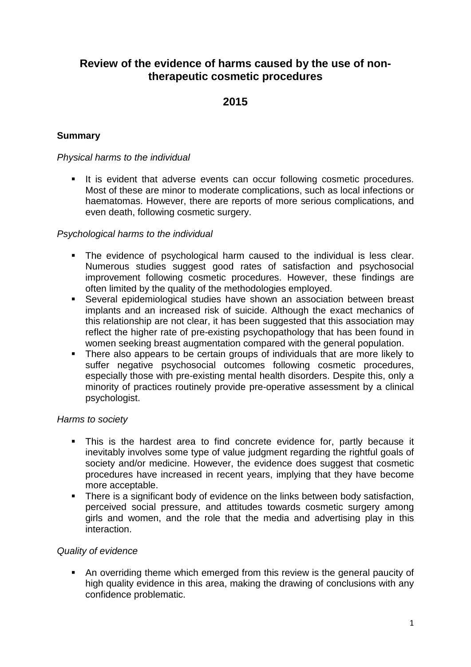# **Review of the evidence of harms caused by the use of nontherapeutic cosmetic procedures**

# **2015**

# **Summary**

# *Physical harms to the individual*

It is evident that adverse events can occur following cosmetic procedures. Most of these are minor to moderate complications, such as local infections or haematomas. However, there are reports of more serious complications, and even death, following cosmetic surgery.

# *Psychological harms to the individual*

- The evidence of psychological harm caused to the individual is less clear. Numerous studies suggest good rates of satisfaction and psychosocial improvement following cosmetic procedures. However, these findings are often limited by the quality of the methodologies employed.
- Several epidemiological studies have shown an association between breast implants and an increased risk of suicide. Although the exact mechanics of this relationship are not clear, it has been suggested that this association may reflect the higher rate of pre-existing psychopathology that has been found in women seeking breast augmentation compared with the general population.
- There also appears to be certain groups of individuals that are more likely to suffer negative psychosocial outcomes following cosmetic procedures, especially those with pre-existing mental health disorders. Despite this, only a minority of practices routinely provide pre-operative assessment by a clinical psychologist.

#### *Harms to society*

- This is the hardest area to find concrete evidence for, partly because it inevitably involves some type of value judgment regarding the rightful goals of society and/or medicine. However, the evidence does suggest that cosmetic procedures have increased in recent years, implying that they have become more acceptable.
- There is a significant body of evidence on the links between body satisfaction, perceived social pressure, and attitudes towards cosmetic surgery among girls and women, and the role that the media and advertising play in this interaction.

# *Quality of evidence*

 An overriding theme which emerged from this review is the general paucity of high quality evidence in this area, making the drawing of conclusions with any confidence problematic.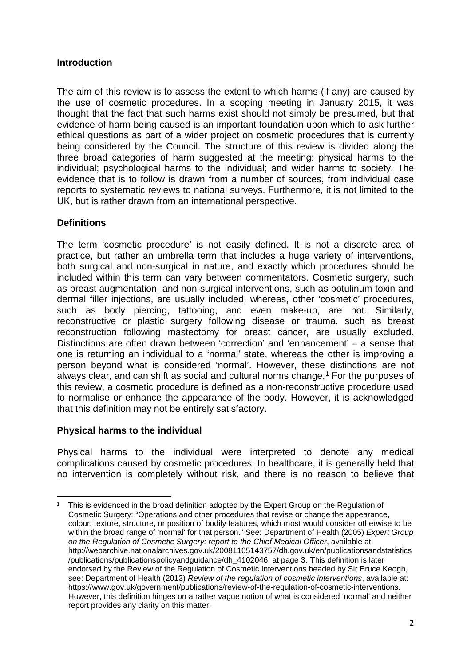# **Introduction**

The aim of this review is to assess the extent to which harms (if any) are caused by the use of cosmetic procedures. In a scoping meeting in January 2015, it was thought that the fact that such harms exist should not simply be presumed, but that evidence of harm being caused is an important foundation upon which to ask further ethical questions as part of a wider project on cosmetic procedures that is currently being considered by the Council. The structure of this review is divided along the three broad categories of harm suggested at the meeting: physical harms to the individual; psychological harms to the individual; and wider harms to society. The evidence that is to follow is drawn from a number of sources, from individual case reports to systematic reviews to national surveys. Furthermore, it is not limited to the UK, but is rather drawn from an international perspective.

# **Definitions**

**.** 

The term 'cosmetic procedure' is not easily defined. It is not a discrete area of practice, but rather an umbrella term that includes a huge variety of interventions, both surgical and non-surgical in nature, and exactly which procedures should be included within this term can vary between commentators. Cosmetic surgery, such as breast augmentation, and non-surgical interventions, such as botulinum toxin and dermal filler injections, are usually included, whereas, other 'cosmetic' procedures, such as body piercing, tattooing, and even make-up, are not. Similarly, reconstructive or plastic surgery following disease or trauma, such as breast reconstruction following mastectomy for breast cancer, are usually excluded. Distinctions are often drawn between 'correction' and 'enhancement' – a sense that one is returning an individual to a 'normal' state, whereas the other is improving a person beyond what is considered 'normal'. However, these distinctions are not always clear, and can shift as social and cultural norms change.<sup>1</sup> For the purposes of this review, a cosmetic procedure is defined as a non-reconstructive procedure used to normalise or enhance the appearance of the body. However, it is acknowledged that this definition may not be entirely satisfactory.

#### **Physical harms to the individual**

Physical harms to the individual were interpreted to denote any medical complications caused by cosmetic procedures. In healthcare, it is generally held that no intervention is completely without risk, and there is no reason to believe that

<span id="page-1-0"></span><sup>1</sup> This is evidenced in the broad definition adopted by the Expert Group on the Regulation of Cosmetic Surgery: "Operations and other procedures that revise or change the appearance, colour, texture, structure, or position of bodily features, which most would consider otherwise to be within the broad range of 'normal' for that person." See: Department of Health (2005) *Expert Group on the Regulation of Cosmetic Surgery: report to the Chief Medical Officer*, available at: http://webarchive.nationalarchives.gov.uk/20081105143757/dh.gov.uk/en/publicationsandstatistics /publications/publicationspolicyandguidance/dh\_4102046, at page 3. This definition is later endorsed by the Review of the Regulation of Cosmetic Interventions headed by Sir Bruce Keogh, see: Department of Health (2013) *Review of the regulation of cosmetic interventions*, available at: https://www.gov.uk/government/publications/review-of-the-regulation-of-cosmetic-interventions. However, this definition hinges on a rather vague notion of what is considered 'normal' and neither report provides any clarity on this matter.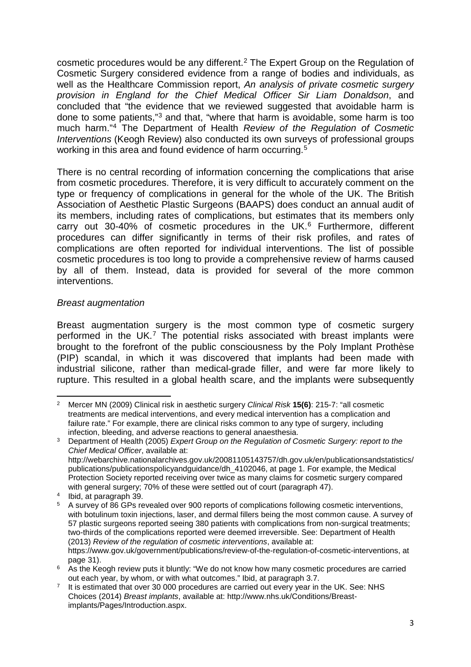cosmetic procedures would be any different.[2](#page-2-0) The Expert Group on the Regulation of Cosmetic Surgery considered evidence from a range of bodies and individuals, as well as the Healthcare Commission report, *An analysis of private cosmetic surgery provision in England for the Chief Medical Officer Sir Liam Donaldson*, and concluded that "the evidence that we reviewed suggested that avoidable harm is done to some patients,"[3](#page-2-1) and that, "where that harm is avoidable, some harm is too much harm."[4](#page-2-2) The Department of Health *Review of the Regulation of Cosmetic Interventions* (Keogh Review) also conducted its own surveys of professional groups working in this area and found evidence of harm occurring.<sup>[5](#page-2-3)</sup>

There is no central recording of information concerning the complications that arise from cosmetic procedures. Therefore, it is very difficult to accurately comment on the type or frequency of complications in general for the whole of the UK. The British Association of Aesthetic Plastic Surgeons (BAAPS) does conduct an annual audit of its members, including rates of complications, but estimates that its members only carry out 30-40% of cosmetic procedures in the UK.<sup>[6](#page-2-4)</sup> Furthermore, different procedures can differ significantly in terms of their risk profiles, and rates of complications are often reported for individual interventions. The list of possible cosmetic procedures is too long to provide a comprehensive review of harms caused by all of them. Instead, data is provided for several of the more common interventions.

#### *Breast augmentation*

Breast augmentation surgery is the most common type of cosmetic surgery performed in the UK.[7](#page-2-5) The potential risks associated with breast implants were brought to the forefront of the public consciousness by the Poly Implant Prothèse (PIP) scandal, in which it was discovered that implants had been made with industrial silicone, rather than medical-grade filler, and were far more likely to rupture. This resulted in a global health scare, and the implants were subsequently

<span id="page-2-0"></span>**<sup>.</sup>** <sup>2</sup> Mercer MN (2009) Clinical risk in aesthetic surgery *Clinical Risk* **15(6)**: 215-7: "all cosmetic treatments are medical interventions, and every medical intervention has a complication and failure rate." For example, there are clinical risks common to any type of surgery, including infection, bleeding, and adverse reactions to general anaesthesia.

<span id="page-2-1"></span><sup>3</sup> Department of Health (2005) *Expert Group on the Regulation of Cosmetic Surgery: report to the Chief Medical Officer*, available at: http://webarchive.nationalarchives.gov.uk/20081105143757/dh.gov.uk/en/publicationsandstatistics/ publications/publicationspolicyandguidance/dh\_4102046, at page 1. For example, the Medical Protection Society reported receiving over twice as many claims for cosmetic surgery compared with general surgery; 70% of these were settled out of court (paragraph 47).

<span id="page-2-2"></span><sup>4</sup> Ibid, at paragraph 39.

<span id="page-2-3"></span><sup>5</sup> A survey of 86 GPs revealed over 900 reports of complications following cosmetic interventions, with botulinum toxin injections, laser, and dermal fillers being the most common cause. A survey of 57 plastic surgeons reported seeing 380 patients with complications from non-surgical treatments; two-thirds of the complications reported were deemed irreversible. See: Department of Health (2013) *Review of the regulation of cosmetic interventions*, available at: https://www.gov.uk/government/publications/review-of-the-regulation-of-cosmetic-interventions, at page 31).

<span id="page-2-4"></span> $6$  As the Keogh review puts it bluntly: "We do not know how many cosmetic procedures are carried out each year, by whom, or with what outcomes." Ibid, at paragraph 3.7.

<span id="page-2-5"></span><sup>7</sup> It is estimated that over 30 000 procedures are carried out every year in the UK. See: NHS Choices (2014) *Breast implants*, available at: http://www.nhs.uk/Conditions/Breastimplants/Pages/Introduction.aspx.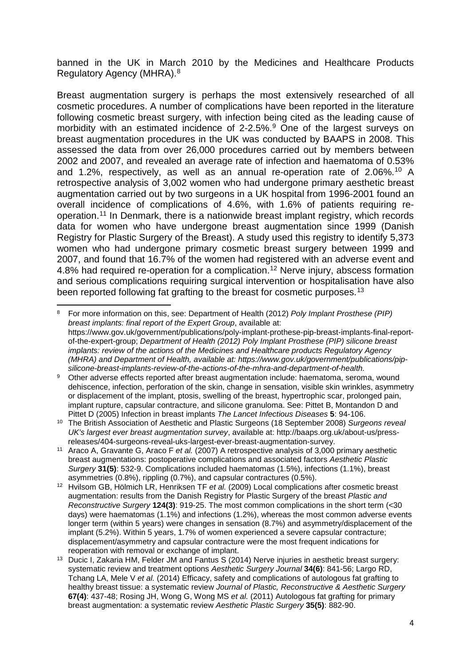banned in the UK in March 2010 by the Medicines and Healthcare Products Regulatory Agency (MHRA).[8](#page-3-0)

Breast augmentation surgery is perhaps the most extensively researched of all cosmetic procedures. A number of complications have been reported in the literature following cosmetic breast surgery, with infection being cited as the leading cause of morbidity with an estimated incidence of 2-2.5%.<sup>9</sup> One of the largest surveys on breast augmentation procedures in the UK was conducted by BAAPS in 2008. This assessed the data from over 26,000 procedures carried out by members between 2002 and 2007, and revealed an average rate of infection and haematoma of 0.53% and 1.2%, respectively, as well as an annual re-operation rate of 2.06%.[10](#page-3-2) A retrospective analysis of 3,002 women who had undergone primary aesthetic breast augmentation carried out by two surgeons in a UK hospital from 1996-2001 found an overall incidence of complications of 4.6%, with 1.6% of patients requiring reoperation.[11](#page-3-3) In Denmark, there is a nationwide breast implant registry, which records data for women who have undergone breast augmentation since 1999 (Danish Registry for Plastic Surgery of the Breast). A study used this registry to identify 5,373 women who had undergone primary cosmetic breast surgery between 1999 and 2007, and found that 16.7% of the women had registered with an adverse event and 4.8% had required re-operation for a complication.<sup>[12](#page-3-4)</sup> Nerve injury, abscess formation and serious complications requiring surgical intervention or hospitalisation have also been reported following fat grafting to the breast for cosmetic purposes.<sup>[13](#page-3-5)</sup>

<span id="page-3-0"></span>**.** <sup>8</sup> For more information on this, see: Department of Health (2012) *Poly Implant Prosthese (PIP) breast implants: final report of the Expert Group*, available at: https://www.gov.uk/government/publications/poly-implant-prothese-pip-breast-implants-final-reportof-the-expert-group; *Department of Health (2012) Poly Implant Prosthese (PIP) silicone breast implants: review of the actions of the Medicines and Healthcare products Regulatory Agency (MHRA) and Department of Health, available at: https://www.gov.uk/government/publications/pipsilicone-breast-implants-review-of-the-actions-of-the-mhra-and-department-of-health.*

<span id="page-3-1"></span>9 Other adverse effects reported after breast augmentation include: haematoma, seroma, wound dehiscence, infection, perforation of the skin, change in sensation, visible skin wrinkles, asymmetry or displacement of the implant, ptosis, swelling of the breast, hypertrophic scar, prolonged pain, implant rupture, capsular contracture, and silicone granuloma. See: Pittet B, Montandon D and Pittet D (2005) Infection in breast implants *The Lancet Infectious Diseases* **5**: 94-106.

<span id="page-3-2"></span><sup>10</sup> The British Association of Aesthetic and Plastic Surgeons (18 September 2008) *Surgeons reveal UK's largest ever breast augmentation survey*, available at: http://baaps.org.uk/about-us/press-

<span id="page-3-3"></span><sup>&</sup>lt;sup>11</sup> Araco A, Gravante G, Araco F et al. (2007) A retrospective analysis of 3,000 primary aesthetic breast augmentations: postoperative complications and associated factors *Aesthetic Plastic Surgery* **31(5)**: 532-9. Complications included haematomas (1.5%), infections (1.1%), breast asymmetries (0.8%), rippling (0.7%), and capsular contractures (0.5%).

<span id="page-3-4"></span><sup>12</sup> Hvilsom GB, Hölmich LR, Henriksen TF *et al.* (2009) Local complications after cosmetic breast augmentation: results from the Danish Registry for Plastic Surgery of the breast *Plastic and Reconstructive Surgery* **124(3)**: 919-25. The most common complications in the short term (<30 days) were haematomas (1.1%) and infections (1.2%), whereas the most common adverse events longer term (within 5 years) were changes in sensation (8.7%) and asymmetry/displacement of the implant (5.2%). Within 5 years, 1.7% of women experienced a severe capsular contracture; displacement/asymmetry and capsular contracture were the most frequent indications for reoperation with removal or exchange of implant.

<span id="page-3-5"></span><sup>&</sup>lt;sup>13</sup> Ducic I, Zakaria HM, Felder JM and Fantus S (2014) Nerve injuries in aesthetic breast surgery: systematic review and treatment options *Aesthetic Surgery Journal* **34(6)**: 841-56; Largo RD, Tchang LA, Mele V *et al.* (2014) Efficacy, safety and complications of autologous fat grafting to healthy breast tissue: a systematic review *Journal of Plastic, Reconstructive & Aesthetic Surgery*  **67(4)**: 437-48; Rosing JH, Wong G, Wong MS *et al.* (2011) Autologous fat grafting for primary breast augmentation: a systematic review *Aesthetic Plastic Surgery* **35(5)**: 882-90.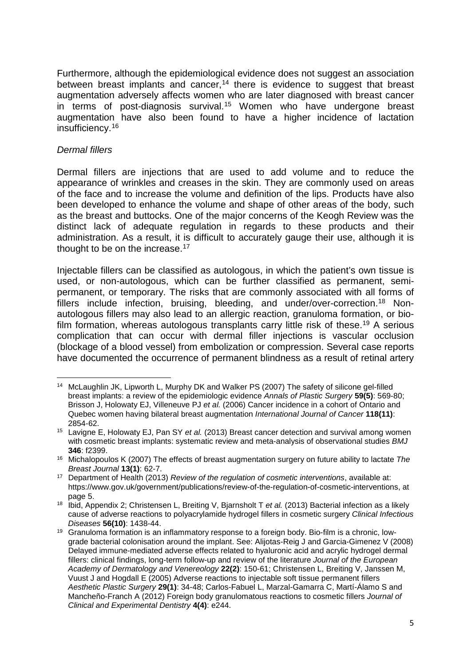Furthermore, although the epidemiological evidence does not suggest an association between breast implants and cancer,<sup>[14](#page-4-0)</sup> there is evidence to suggest that breast augmentation adversely affects women who are later diagnosed with breast cancer in terms of post-diagnosis survival.<sup>[15](#page-4-1)</sup> Women who have undergone breast augmentation have also been found to have a higher incidence of lactation insufficiency.[16](#page-4-2)

#### *Dermal fillers*

Dermal fillers are injections that are used to add volume and to reduce the appearance of wrinkles and creases in the skin. They are commonly used on areas of the face and to increase the volume and definition of the lips. Products have also been developed to enhance the volume and shape of other areas of the body, such as the breast and buttocks. One of the major concerns of the Keogh Review was the distinct lack of adequate regulation in regards to these products and their administration. As a result, it is difficult to accurately gauge their use, although it is thought to be on the increase.<sup>[17](#page-4-3)</sup>

Injectable fillers can be classified as autologous, in which the patient's own tissue is used, or non-autologous, which can be further classified as permanent, semipermanent, or temporary. The risks that are commonly associated with all forms of fillers include infection, bruising, bleeding, and under/over-correction.<sup>[18](#page-4-4)</sup> Nonautologous fillers may also lead to an allergic reaction, granuloma formation, or bio-film formation, whereas autologous transplants carry little risk of these.<sup>[19](#page-4-5)</sup> A serious complication that can occur with dermal filler injections is vascular occlusion (blockage of a blood vessel) from embolization or compression. Several case reports have documented the occurrence of permanent blindness as a result of retinal artery

<span id="page-4-0"></span><sup>1</sup> <sup>14</sup> McLaughlin JK, Lipworth L, Murphy DK and Walker PS (2007) The safety of silicone gel-filled breast implants: a review of the epidemiologic evidence *Annals of Plastic Surgery* **59(5)**: 569-80; Brisson J, Holowaty EJ, Villeneuve PJ *et al.* (2006) Cancer incidence in a cohort of Ontario and Quebec women having bilateral breast augmentation *International Journal of Cancer* **118(11)**: 2854-62.

<span id="page-4-1"></span><sup>15</sup> Lavigne E, Holowaty EJ, Pan SY *et al.* (2013) Breast cancer detection and survival among women with cosmetic breast implants: systematic review and meta-analysis of observational studies *BMJ*  **346**: f2399.

<span id="page-4-2"></span><sup>16</sup> Michalopoulos K (2007) The effects of breast augmentation surgery on future ability to lactate *The Breast Journal* **13(1)**: 62-7.

<span id="page-4-3"></span><sup>17</sup> Department of Health (2013) *Review of the regulation of cosmetic interventions*, available at: https://www.gov.uk/government/publications/review-of-the-regulation-of-cosmetic-interventions, at page 5.

<span id="page-4-4"></span><sup>18</sup> Ibid, Appendix 2; Christensen L, Breiting V, Bjarnsholt T *et al.* (2013) Bacterial infection as a likely cause of adverse reactions to polyacrylamide hydrogel fillers in cosmetic surgery *Clinical Infectious Diseases* **56(10)**: 1438-44.

<span id="page-4-5"></span><sup>&</sup>lt;sup>19</sup> Granuloma formation is an inflammatory response to a foreign body. Bio-film is a chronic, lowgrade bacterial colonisation around the implant. See: Alijotas-Reig J and Garcia-Gimenez V (2008) Delayed immune-mediated adverse effects related to hyaluronic acid and acrylic hydrogel dermal fillers: clinical findings, long-term follow-up and review of the literature *Journal of the European Academy of Dermatology and Venereology* **22(2)**: 150-61; Christensen L, Breiting V, Janssen M, Vuust J and Hogdall E (2005) Adverse reactions to injectable soft tissue permanent fillers *Aesthetic Plastic Surgery* **29(1)**: 34-48; Carlos-Fabuel L, Marzal-Gamarra C, Martí-Álamo S and Mancheño-Franch A (2012) Foreign body granulomatous reactions to cosmetic fillers *Journal of Clinical and Experimental Dentistry* **4(4)**: e244.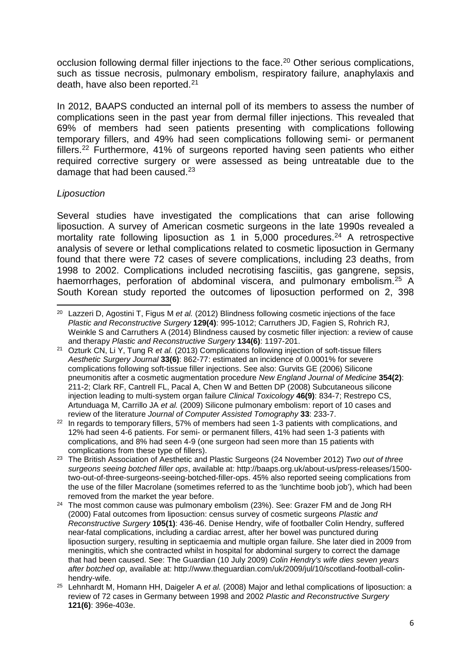occlusion following dermal filler injections to the face.<sup>[20](#page-5-0)</sup> Other serious complications, such as tissue necrosis, pulmonary embolism, respiratory failure, anaphylaxis and death, have also been reported.[21](#page-5-1)

In 2012, BAAPS conducted an internal poll of its members to assess the number of complications seen in the past year from dermal filler injections. This revealed that 69% of members had seen patients presenting with complications following temporary fillers, and 49% had seen complications following semi- or permanent fillers.[22](#page-5-2) Furthermore, 41% of surgeons reported having seen patients who either required corrective surgery or were assessed as being untreatable due to the damage that had been caused. $23$ 

# *Liposuction*

Several studies have investigated the complications that can arise following liposuction. A survey of American cosmetic surgeons in the late 1990s revealed a mortality rate following liposuction as 1 in  $5,000$  procedures.<sup>[24](#page-5-4)</sup> A retrospective analysis of severe or lethal complications related to cosmetic liposuction in Germany found that there were 72 cases of severe complications, including 23 deaths, from 1998 to 2002. Complications included necrotising fasciitis, gas gangrene, sepsis, haemorrhages, perforation of abdominal viscera, and pulmonary embolism.<sup>[25](#page-5-5)</sup> A South Korean study reported the outcomes of liposuction performed on 2, 398

- <span id="page-5-3"></span><sup>23</sup> The British Association of Aesthetic and Plastic Surgeons (24 November 2012) *Two out of three surgeons seeing botched filler ops*, available at: http://baaps.org.uk/about-us/press-releases/1500 two-out-of-three-surgeons-seeing-botched-filler-ops. 45% also reported seeing complications from the use of the filler Macrolane (sometimes referred to as the 'lunchtime boob job'), which had been removed from the market the year before.
- <span id="page-5-4"></span><sup>24</sup> The most common cause was pulmonary embolism (23%). See: Grazer FM and de Jong RH (2000) Fatal outcomes from liposuction: census survey of cosmetic surgeons *Plastic and Reconstructive Surgery* **105(1)**: 436-46. Denise Hendry, wife of footballer Colin Hendry, suffered near-fatal complications, including a cardiac arrest, after her bowel was punctured during liposuction surgery, resulting in septicaemia and multiple organ failure. She later died in 2009 from meningitis, which she contracted whilst in hospital for abdominal surgery to correct the damage that had been caused. See: The Guardian (10 July 2009) *Colin Hendry's wife dies seven years after botched op*, available at: http://www.theguardian.com/uk/2009/jul/10/scotland-football-colinhendry-wife.
- <span id="page-5-5"></span><sup>25</sup> Lehnhardt M, Homann HH, Daigeler A *et al.* (2008) Major and lethal complications of liposuction: a review of 72 cases in Germany between 1998 and 2002 *Plastic and Reconstructive Surgery*  **121(6)**: 396e-403e.

<span id="page-5-0"></span>**<sup>.</sup>** <sup>20</sup> Lazzeri D, Agostini T, Figus M *et al.* (2012) Blindness following cosmetic injections of the face *Plastic and Reconstructive Surgery* **129(4)**: 995-1012; Carruthers JD, Fagien S, Rohrich RJ, Weinkle S and Carruthers A (2014) Blindness caused by cosmetic filler injection: a review of cause and therapy *Plastic and Reconstructive Surgery* **134(6)**: 1197-201.

<span id="page-5-1"></span><sup>21</sup> Ozturk CN, Li Y, Tung R *et al.* (2013) Complications following injection of soft-tissue fillers *Aesthetic Surgery Journal* **33(6)**: 862-77: estimated an incidence of 0.0001% for severe complications following soft-tissue filler injections. See also: Gurvits GE (2006) Silicone pneumonitis after a cosmetic augmentation procedure *New England Journal of Medicine* **354(2)**: 211-2; Clark RF, Cantrell FL, Pacal A, Chen W and Betten DP (2008) Subcutaneous silicone injection leading to multi-system organ failure *Clinical Toxicology* **46(9)**: 834-7; Restrepo CS, Artunduaga M, Carrillo JA *et al.* (2009) Silicone pulmonary embolism: report of 10 cases and review of the literature *Journal of Computer Assisted Tomography* **33**: 233-7.

<span id="page-5-2"></span><sup>&</sup>lt;sup>22</sup> In regards to temporary fillers, 57% of members had seen 1-3 patients with complications, and 12% had seen 4-6 patients. For semi- or permanent fillers, 41% had seen 1-3 patients with complications, and 8% had seen 4-9 (one surgeon had seen more than 15 patients with complications from these type of fillers).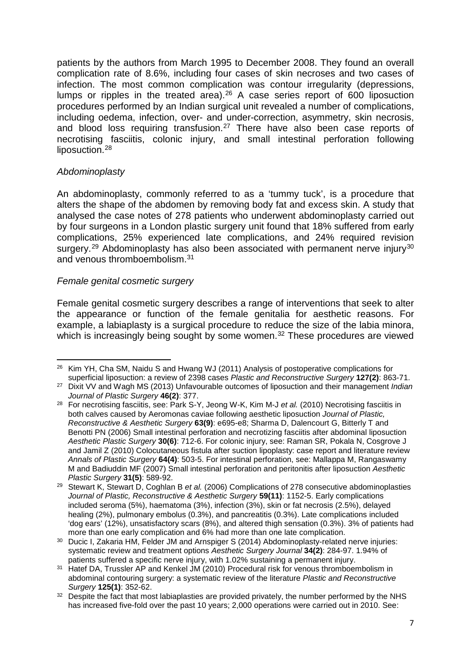patients by the authors from March 1995 to December 2008. They found an overall complication rate of 8.6%, including four cases of skin necroses and two cases of infection. The most common complication was contour irregularity (depressions, lumps or ripples in the treated area).[26](#page-6-0) A case series report of 600 liposuction procedures performed by an Indian surgical unit revealed a number of complications, including oedema, infection, over- and under-correction, asymmetry, skin necrosis, and blood loss requiring transfusion.<sup>[27](#page-6-1)</sup> There have also been case reports of necrotising fasciitis, colonic injury, and small intestinal perforation following liposuction.<sup>[28](#page-6-2)</sup>

#### *Abdominoplasty*

An abdominoplasty, commonly referred to as a 'tummy tuck', is a procedure that alters the shape of the abdomen by removing body fat and excess skin. A study that analysed the case notes of 278 patients who underwent abdominoplasty carried out by four surgeons in a London plastic surgery unit found that 18% suffered from early complications, 25% experienced late complications, and 24% required revision surgery.<sup>[29](#page-6-3)</sup> Abdominoplasty has also been associated with permanent nerve injury<sup>[30](#page-6-4)</sup> and venous thromboembolism.[31](#page-6-5)

# *Female genital cosmetic surgery*

Female genital cosmetic surgery describes a range of interventions that seek to alter the appearance or function of the female genitalia for aesthetic reasons. For example, a labiaplasty is a surgical procedure to reduce the size of the labia minora, which is increasingly being sought by some women.<sup>[32](#page-6-6)</sup> These procedures are viewed

<span id="page-6-0"></span>**<sup>.</sup>**  $26$  Kim YH, Cha SM, Naidu S and Hwang WJ (2011) Analysis of postoperative complications for superficial liposuction: a review of 2398 cases *Plastic and Reconstructive Surgery* **127(2)**: 863-71.

<span id="page-6-1"></span><sup>27</sup> Dixit VV and Wagh MS (2013) Unfavourable outcomes of liposuction and their management *Indian Journal of Plastic Surgery* **46(2)**: 377.

<span id="page-6-2"></span><sup>28</sup> For necrotising fasciitis, see: Park S-Y, Jeong W-K, Kim M-J *et al.* (2010) Necrotising fasciitis in both calves caused by Aeromonas caviae following aesthetic liposuction *Journal of Plastic, Reconstructive & Aesthetic Surgery* **63(9)**: e695-e8; Sharma D, Dalencourt G, Bitterly T and Benotti PN (2006) Small intestinal perforation and necrotizing fasciitis after abdominal liposuction *Aesthetic Plastic Surgery* **30(6)**: 712-6. For colonic injury, see: Raman SR, Pokala N, Cosgrove J and Jamil Z (2010) Colocutaneous fistula after suction lipoplasty: case report and literature review *Annals of Plastic Surgery* **64(4)**: 503-5. For intestinal perforation, see: Mallappa M, Rangaswamy M and Badiuddin MF (2007) Small intestinal perforation and peritonitis after liposuction *Aesthetic Plastic Surgery* **31(5)**: 589-92.

<span id="page-6-3"></span><sup>29</sup> Stewart K, Stewart D, Coghlan B *et al.* (2006) Complications of 278 consecutive abdominoplasties *Journal of Plastic, Reconstructive & Aesthetic Surgery* **59(11)**: 1152-5. Early complications included seroma (5%), haematoma (3%), infection (3%), skin or fat necrosis (2.5%), delayed healing (2%), pulmonary embolus (0.3%), and pancreatitis (0.3%). Late complications included 'dog ears' (12%), unsatisfactory scars (8%), and altered thigh sensation (0.3%). 3% of patients had more than one early complication and 6% had more than one late complication.

<span id="page-6-4"></span><sup>&</sup>lt;sup>30</sup> Ducic I, Zakaria HM, Felder JM and Arnspiger S (2014) Abdominoplasty-related nerve injuries: systematic review and treatment options *Aesthetic Surgery Journal* **34(2)**: 284-97. 1.94% of patients suffered a specific nerve injury, with 1.02% sustaining a permanent injury.

<span id="page-6-5"></span><sup>&</sup>lt;sup>31</sup> Hatef DA, Trussler AP and Kenkel JM (2010) Procedural risk for venous thromboembolism in abdominal contouring surgery: a systematic review of the literature *Plastic and Reconstructive Surgery* **125(1)**: 352-62.

<span id="page-6-6"></span><sup>&</sup>lt;sup>32</sup> Despite the fact that most labiaplasties are provided privately, the number performed by the NHS has increased five-fold over the past 10 years; 2,000 operations were carried out in 2010. See: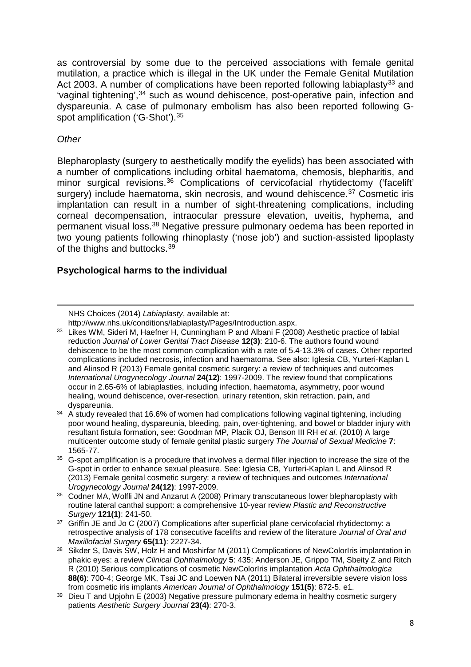as controversial by some due to the perceived associations with female genital mutilation, a practice which is illegal in the UK under the Female Genital Mutilation Act 2003. A number of complications have been reported following labiaplasty<sup>[33](#page-7-0)</sup> and 'vaginal tightening',<sup>[34](#page-7-1)</sup> such as wound dehiscence, post-operative pain, infection and dyspareunia. A case of pulmonary embolism has also been reported following G-spot amplification ('G-Shot'). [35](#page-7-2)

#### *Other*

**.** 

Blepharoplasty (surgery to aesthetically modify the eyelids) has been associated with a number of complications including orbital haematoma, chemosis, blepharitis, and minor surgical revisions.<sup>[36](#page-7-3)</sup> Complications of cervicofacial rhytidectomy ('facelift' surgery) include haematoma, skin necrosis, and wound dehiscence.<sup>[37](#page-7-4)</sup> Cosmetic iris implantation can result in a number of sight-threatening complications, including corneal decompensation, intraocular pressure elevation, uveitis, hyphema, and permanent visual loss.[38](#page-7-5) Negative pressure pulmonary oedema has been reported in two young patients following rhinoplasty ('nose job') and suction-assisted lipoplasty of the thighs and buttocks.<sup>[39](#page-7-6)</sup>

# **Psychological harms to the individual**

NHS Choices (2014) *Labiaplasty*, available at:

http://www.nhs.uk/conditions/labiaplasty/Pages/Introduction.aspx.

<span id="page-7-0"></span><sup>&</sup>lt;sup>33</sup> Likes WM, Sideri M, Haefner H, Cunningham P and Albani F (2008) Aesthetic practice of labial reduction *Journal of Lower Genital Tract Disease* **12(3)**: 210-6. The authors found wound dehiscence to be the most common complication with a rate of 5.4-13.3% of cases. Other reported complications included necrosis, infection and haematoma. See also: Iglesia CB, Yurteri-Kaplan L and Alinsod R (2013) Female genital cosmetic surgery: a review of techniques and outcomes *International Urogynecology Journal* **24(12)**: 1997-2009. The review found that complications occur in 2.65-6% of labiaplasties, including infection, haematoma, asymmetry, poor wound healing, wound dehiscence, over-resection, urinary retention, skin retraction, pain, and dyspareunia.

<span id="page-7-1"></span> $34$  A study revealed that 16.6% of women had complications following vaginal tightening, including poor wound healing, dyspareunia, bleeding, pain, over-tightening, and bowel or bladder injury with resultant fistula formation, see: Goodman MP, Placik OJ, Benson III RH *et al.* (2010) A large multicenter outcome study of female genital plastic surgery *The Journal of Sexual Medicine* **7**: 1565-77.

<span id="page-7-2"></span><sup>&</sup>lt;sup>35</sup> G-spot amplification is a procedure that involves a dermal filler injection to increase the size of the G-spot in order to enhance sexual pleasure. See: Iglesia CB, Yurteri-Kaplan L and Alinsod R (2013) Female genital cosmetic surgery: a review of techniques and outcomes *International Urogynecology Journal* **24(12)**: 1997-2009.

<span id="page-7-3"></span><sup>&</sup>lt;sup>36</sup> Codner MA, Wolfli JN and Anzarut A (2008) Primary transcutaneous lower blepharoplasty with routine lateral canthal support: a comprehensive 10-year review *Plastic and Reconstructive Surgery* **121(1)**: 241-50.

<span id="page-7-4"></span><sup>&</sup>lt;sup>37</sup> Griffin JE and Jo C (2007) Complications after superficial plane cervicofacial rhytidectomy: a retrospective analysis of 178 consecutive facelifts and review of the literature *Journal of Oral and Maxillofacial Surgery* **65(11)**: 2227-34.

<span id="page-7-5"></span><sup>38</sup> Sikder S, Davis SW, Holz H and Moshirfar M (2011) Complications of NewColorIris implantation in phakic eyes: a review *Clinical Ophthalmology* **5**: 435; Anderson JE, Grippo TM, Sbeity Z and Ritch R (2010) Serious complications of cosmetic NewColorIris implantation *Acta Ophthalmologica*  **88(6)**: 700-4; George MK, Tsai JC and Loewen NA (2011) Bilateral irreversible severe vision loss from cosmetic iris implants *American Journal of Ophthalmology* **151(5)**: 872-5. e1.

<span id="page-7-6"></span><sup>&</sup>lt;sup>39</sup> Dieu T and Upjohn E (2003) Negative pressure pulmonary edema in healthy cosmetic surgery patients *Aesthetic Surgery Journal* **23(4)**: 270-3.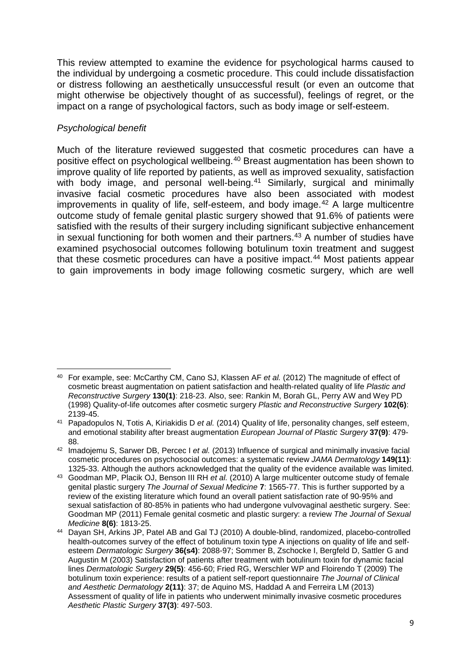This review attempted to examine the evidence for psychological harms caused to the individual by undergoing a cosmetic procedure. This could include dissatisfaction or distress following an aesthetically unsuccessful result (or even an outcome that might otherwise be objectively thought of as successful), feelings of regret, or the impact on a range of psychological factors, such as body image or self-esteem.

# *Psychological benefit*

Much of the literature reviewed suggested that cosmetic procedures can have a positive effect on psychological wellbeing.[40](#page-8-0) Breast augmentation has been shown to improve quality of life reported by patients, as well as improved sexuality, satisfaction with body image, and personal well-being.<sup>[41](#page-8-1)</sup> Similarly, surgical and minimally invasive facial cosmetic procedures have also been associated with modest improvements in quality of life, self-esteem, and body image.<sup>[42](#page-8-2)</sup> A large multicentre outcome study of female genital plastic surgery showed that 91.6% of patients were satisfied with the results of their surgery including significant subjective enhancement in sexual functioning for both women and their partners.<sup>[43](#page-8-3)</sup> A number of studies have examined psychosocial outcomes following botulinum toxin treatment and suggest that these cosmetic procedures can have a positive impact.<sup>[44](#page-8-4)</sup> Most patients appear to gain improvements in body image following cosmetic surgery, which are well

<span id="page-8-0"></span> $\overline{a}$ <sup>40</sup> For example, see: McCarthy CM, Cano SJ, Klassen AF *et al.* (2012) The magnitude of effect of cosmetic breast augmentation on patient satisfaction and health-related quality of life *Plastic and Reconstructive Surgery* **130(1)**: 218-23. Also, see: Rankin M, Borah GL, Perry AW and Wey PD (1998) Quality-of-life outcomes after cosmetic surgery *Plastic and Reconstructive Surgery* **102(6)**: 2139-45.

<span id="page-8-1"></span><sup>41</sup> Papadopulos N, Totis A, Kiriakidis D *et al.* (2014) Quality of life, personality changes, self esteem, and emotional stability after breast augmentation *European Journal of Plastic Surgery* **37(9)**: 479- 88.

<span id="page-8-2"></span><sup>42</sup> Imadojemu S, Sarwer DB, Percec I *et al.* (2013) Influence of surgical and minimally invasive facial cosmetic procedures on psychosocial outcomes: a systematic review *JAMA Dermatology* **149(11)**: 1325-33. Although the authors acknowledged that the quality of the evidence available was limited.

<span id="page-8-3"></span><sup>43</sup> Goodman MP, Placik OJ, Benson III RH *et al.* (2010) A large multicenter outcome study of female genital plastic surgery *The Journal of Sexual Medicine* **7**: 1565-77. This is further supported by a review of the existing literature which found an overall patient satisfaction rate of 90-95% and sexual satisfaction of 80-85% in patients who had undergone vulvovaginal aesthetic surgery. See: Goodman MP (2011) Female genital cosmetic and plastic surgery: a review *The Journal of Sexual Medicine* **8(6)**: 1813-25.

<span id="page-8-4"></span><sup>44</sup> Dayan SH, Arkins JP, Patel AB and Gal TJ (2010) A double-blind, randomized, placebo-controlled health-outcomes survey of the effect of botulinum toxin type A injections on quality of life and selfesteem *Dermatologic Surgery* **36(s4)**: 2088-97; Sommer B, Zschocke I, Bergfeld D, Sattler G and Augustin M (2003) Satisfaction of patients after treatment with botulinum toxin for dynamic facial lines *Dermatologic Surgery* **29(5)**: 456-60; Fried RG, Werschler WP and Floirendo T (2009) The botulinum toxin experience: results of a patient self-report questionnaire *The Journal of Clinical and Aesthetic Dermatology* **2(11)**: 37; de Aquino MS, Haddad A and Ferreira LM (2013) Assessment of quality of life in patients who underwent minimally invasive cosmetic procedures *Aesthetic Plastic Surgery* **37(3)**: 497-503.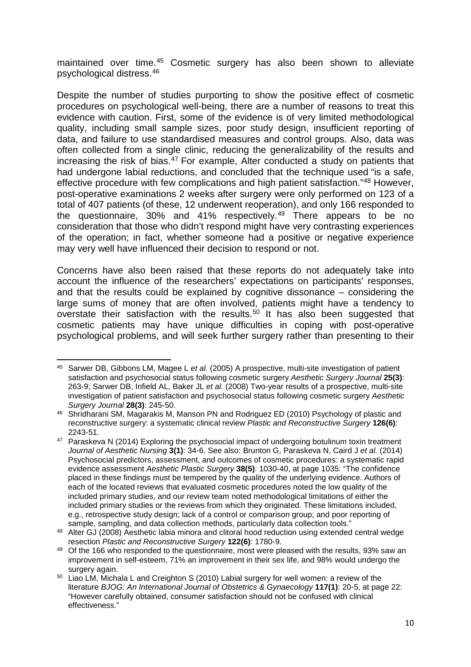maintained over time.[45](#page-9-0) Cosmetic surgery has also been shown to alleviate psychological distress.[46](#page-9-1)

Despite the number of studies purporting to show the positive effect of cosmetic procedures on psychological well-being, there are a number of reasons to treat this evidence with caution. First, some of the evidence is of very limited methodological quality, including small sample sizes, poor study design, insufficient reporting of data, and failure to use standardised measures and control groups. Also, data was often collected from a single clinic, reducing the generalizability of the results and increasing the risk of bias.<sup>[47](#page-9-2)</sup> For example, Alter conducted a study on patients that had undergone labial reductions, and concluded that the technique used "is a safe, effective procedure with few complications and high patient satisfaction."[48](#page-9-3) However, post-operative examinations 2 weeks after surgery were only performed on 123 of a total of 407 patients (of these, 12 underwent reoperation), and only 166 responded to the questionnaire, 30% and 41% respectively.<sup>[49](#page-9-4)</sup> There appears to be no consideration that those who didn't respond might have very contrasting experiences of the operation; in fact, whether someone had a positive or negative experience may very well have influenced their decision to respond or not.

Concerns have also been raised that these reports do not adequately take into account the influence of the researchers' expectations on participants' responses, and that the results could be explained by cognitive dissonance – considering the large sums of money that are often involved, patients might have a tendency to overstate their satisfaction with the results.<sup>[50](#page-9-5)</sup> It has also been suggested that cosmetic patients may have unique difficulties in coping with post-operative psychological problems, and will seek further surgery rather than presenting to their

<span id="page-9-0"></span>**<sup>.</sup>** <sup>45</sup> Sarwer DB, Gibbons LM, Magee L *et al.* (2005) A prospective, multi-site investigation of patient satisfaction and psychosocial status following cosmetic surgery *Aesthetic Surgery Journal* **25(3)**: 263-9; Sarwer DB, Infield AL, Baker JL *et al.* (2008) Two-year results of a prospective, multi-site investigation of patient satisfaction and psychosocial status following cosmetic surgery *Aesthetic Surgery Journal* **28(3)**: 245-50.

<span id="page-9-1"></span><sup>46</sup> Shridharani SM, Magarakis M, Manson PN and Rodriguez ED (2010) Psychology of plastic and reconstructive surgery: a systematic clinical review *Plastic and Reconstructive Surgery* **126(6)**: 2243-51.

<span id="page-9-2"></span><sup>&</sup>lt;sup>47</sup> Paraskeva N (2014) Exploring the psychosocial impact of undergoing botulinum toxin treatment *Journal of Aesthetic Nursing* **3(1)**: 34-6. See also: Brunton G, Paraskeva N, Caird J *et al.* (2014) Psychosocial predictors, assessment, and outcomes of cosmetic procedures: a systematic rapid evidence assessment *Aesthetic Plastic Surgery* **38(5)**: 1030-40, at page 1035: "The confidence placed in these findings must be tempered by the quality of the underlying evidence. Authors of each of the located reviews that evaluated cosmetic procedures noted the low quality of the included primary studies, and our review team noted methodological limitations of either the included primary studies or the reviews from which they originated. These limitations included, e.g., retrospective study design; lack of a control or comparison group; and poor reporting of sample, sampling, and data collection methods, particularly data collection tools."

<span id="page-9-3"></span><sup>48</sup> Alter GJ (2008) Aesthetic labia minora and clitoral hood reduction using extended central wedge resection *Plastic and Reconstructive Surgery* **122(6)**: 1780-9.

<span id="page-9-4"></span><sup>&</sup>lt;sup>49</sup> Of the 166 who responded to the questionnaire, most were pleased with the results, 93% saw an improvement in self-esteem, 71% an improvement in their sex life, and 98% would undergo the surgery again.

<span id="page-9-5"></span><sup>50</sup> Liao LM, Michala L and Creighton S (2010) Labial surgery for well women: a review of the literature *BJOG: An International Journal of Obstetrics & Gynaecology* **117(1)**: 20-5, at page 22: "However carefully obtained, consumer satisfaction should not be confused with clinical effectiveness."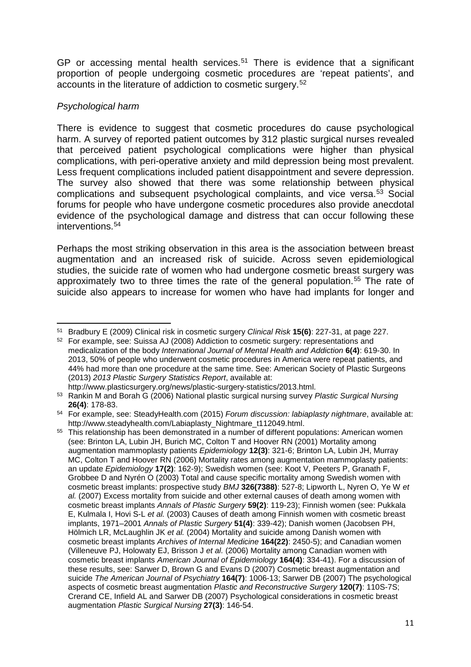GP or accessing mental health services.<sup>[51](#page-10-0)</sup> There is evidence that a significant proportion of people undergoing cosmetic procedures are 'repeat patients', and accounts in the literature of addiction to cosmetic surgery.[52](#page-10-1)

# *Psychological harm*

1

There is evidence to suggest that cosmetic procedures do cause psychological harm. A survey of reported patient outcomes by 312 plastic surgical nurses revealed that perceived patient psychological complications were higher than physical complications, with peri-operative anxiety and mild depression being most prevalent. Less frequent complications included patient disappointment and severe depression. The survey also showed that there was some relationship between physical complications and subsequent psychological complaints, and vice versa.<sup>[53](#page-10-2)</sup> Social forums for people who have undergone cosmetic procedures also provide anecdotal evidence of the psychological damage and distress that can occur following these interventions.[54](#page-10-3)

Perhaps the most striking observation in this area is the association between breast augmentation and an increased risk of suicide. Across seven epidemiological studies, the suicide rate of women who had undergone cosmetic breast surgery was approximately two to three times the rate of the general population.<sup>[55](#page-10-4)</sup> The rate of suicide also appears to increase for women who have had implants for longer and

<span id="page-10-0"></span><sup>51</sup> Bradbury E (2009) Clinical risk in cosmetic surgery *Clinical Risk* **15(6)**: 227-31, at page 227.

<span id="page-10-1"></span><sup>&</sup>lt;sup>52</sup> For example, see: Suissa AJ (2008) Addiction to cosmetic surgery: representations and medicalization of the body *International Journal of Mental Health and Addiction* **6(4)**: 619-30. In 2013, 50% of people who underwent cosmetic procedures in America were repeat patients, and 44% had more than one procedure at the same time. See: American Society of Plastic Surgeons (2013) *2013 Plastic Surgery Statistics Report*, available at:

http://www.plasticsurgery.org/news/plastic-surgery-statistics/2013.html. <sup>53</sup> Rankin M and Borah G (2006) National plastic surgical nursing survey *Plastic Surgical Nursing* 

<span id="page-10-2"></span>**<sup>26(4)</sup>**: 178-83.

<span id="page-10-3"></span><sup>54</sup> For example, see: SteadyHealth.com (2015) *Forum discussion: labiaplasty nightmare*, available at: http://www.steadyhealth.com/Labiaplasty\_Nightmare\_t112049.html.

<span id="page-10-4"></span><sup>&</sup>lt;sup>55</sup> This relationship has been demonstrated in a number of different populations: American women (see: Brinton LA, Lubin JH, Burich MC, Colton T and Hoover RN (2001) Mortality among augmentation mammoplasty patients *Epidemiology* **12(3)**: 321-6; Brinton LA, Lubin JH, Murray MC, Colton T and Hoover RN (2006) Mortality rates among augmentation mammoplasty patients: an update *Epidemiology* **17(2)**: 162-9); Swedish women (see: Koot V, Peeters P, Granath F, Grobbee D and Nyrén O (2003) Total and cause specific mortality among Swedish women with cosmetic breast implants: prospective study *BMJ* **326(7388)**: 527-8; Lipworth L, Nyren O, Ye W *et al.* (2007) Excess mortality from suicide and other external causes of death among women with cosmetic breast implants *Annals of Plastic Surgery* **59(2)**: 119-23); Finnish women (see: Pukkala E, Kulmala I, Hovi S-L *et al.* (2003) Causes of death among Finnish women with cosmetic breast implants, 1971–2001 *Annals of Plastic Surgery* **51(4)**: 339-42); Danish women (Jacobsen PH, Hölmich LR, McLaughlin JK *et al.* (2004) Mortality and suicide among Danish women with cosmetic breast implants *Archives of Internal Medicine* **164(22)**: 2450-5); and Canadian women (Villeneuve PJ, Holowaty EJ, Brisson J *et al.* (2006) Mortality among Canadian women with cosmetic breast implants *American Journal of Epidemiology* **164(4)**: 334-41). For a discussion of these results, see: Sarwer D, Brown G and Evans D (2007) Cosmetic breast augmentation and suicide *The American Journal of Psychiatry* **164(7)**: 1006-13; Sarwer DB (2007) The psychological aspects of cosmetic breast augmentation *Plastic and Reconstructive Surgery* **120(7)**: 110S-7S; Crerand CE, Infield AL and Sarwer DB (2007) Psychological considerations in cosmetic breast augmentation *Plastic Surgical Nursing* **27(3)**: 146-54.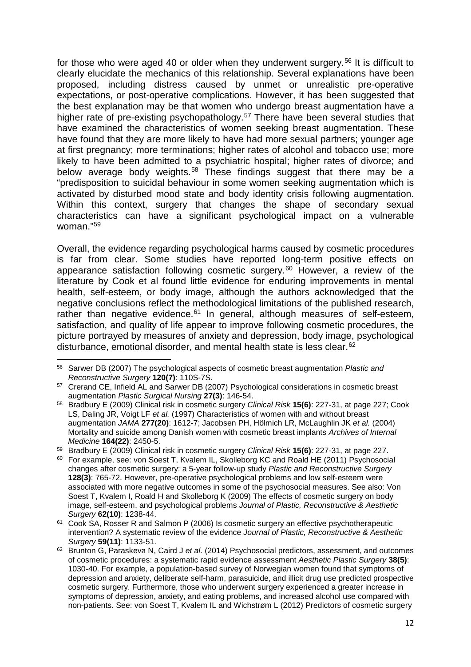for those who were aged 40 or older when they underwent surgery.<sup>[56](#page-11-0)</sup> It is difficult to clearly elucidate the mechanics of this relationship. Several explanations have been proposed, including distress caused by unmet or unrealistic pre-operative expectations, or post-operative complications. However, it has been suggested that the best explanation may be that women who undergo breast augmentation have a higher rate of pre-existing psychopathology.<sup>[57](#page-11-1)</sup> There have been several studies that have examined the characteristics of women seeking breast augmentation. These have found that they are more likely to have had more sexual partners; younger age at first pregnancy; more terminations; higher rates of alcohol and tobacco use; more likely to have been admitted to a psychiatric hospital; higher rates of divorce; and below average body weights.<sup>[58](#page-11-2)</sup> These findings suggest that there may be a "predisposition to suicidal behaviour in some women seeking augmentation which is activated by disturbed mood state and body identity crisis following augmentation. Within this context, surgery that changes the shape of secondary sexual characteristics can have a significant psychological impact on a vulnerable woman."[59](#page-11-3)

Overall, the evidence regarding psychological harms caused by cosmetic procedures is far from clear. Some studies have reported long-term positive effects on appearance satisfaction following cosmetic surgery.<sup>[60](#page-11-4)</sup> However, a review of the literature by Cook et al found little evidence for enduring improvements in mental health, self-esteem, or body image, although the authors acknowledged that the negative conclusions reflect the methodological limitations of the published research, rather than negative evidence. $61$  In general, although measures of self-esteem, satisfaction, and quality of life appear to improve following cosmetic procedures, the picture portrayed by measures of anxiety and depression, body image, psychological disturbance, emotional disorder, and mental health state is less clear.<sup>[62](#page-11-6)</sup>

<span id="page-11-0"></span>**<sup>.</sup>** <sup>56</sup> Sarwer DB (2007) The psychological aspects of cosmetic breast augmentation *Plastic and Reconstructive Surgery* **120(7)**: 110S-7S.

<span id="page-11-1"></span><sup>&</sup>lt;sup>57</sup> Crerand CE, Infield AL and Sarwer DB (2007) Psychological considerations in cosmetic breast augmentation *Plastic Surgical Nursing* **27(3)**: 146-54.

<span id="page-11-2"></span><sup>58</sup> Bradbury E (2009) Clinical risk in cosmetic surgery *Clinical Risk* **15(6)**: 227-31, at page 227; Cook LS, Daling JR, Voigt LF *et al.* (1997) Characteristics of women with and without breast augmentation *JAMA* **277(20)**: 1612-7; Jacobsen PH, Hölmich LR, McLaughlin JK *et al.* (2004) Mortality and suicide among Danish women with cosmetic breast implants *Archives of Internal Medicine* **164(22)**: 2450-5.

<span id="page-11-3"></span><sup>59</sup> Bradbury E (2009) Clinical risk in cosmetic surgery *Clinical Risk* **15(6)**: 227-31, at page 227.

<span id="page-11-4"></span><sup>&</sup>lt;sup>60</sup> For example, see: von Soest T, Kvalem IL, Skolleborg KC and Roald HE (2011) Psychosocial changes after cosmetic surgery: a 5-year follow-up study *Plastic and Reconstructive Surgery*  **128(3)**: 765-72. However, pre-operative psychological problems and low self-esteem were associated with more negative outcomes in some of the psychosocial measures. See also: Von Soest T, Kvalem I, Roald H and Skolleborg K (2009) The effects of cosmetic surgery on body image, self-esteem, and psychological problems *Journal of Plastic, Reconstructive & Aesthetic Surgery* **62(10)**: 1238-44.

<span id="page-11-5"></span><sup>&</sup>lt;sup>61</sup> Cook SA, Rosser R and Salmon P (2006) Is cosmetic surgery an effective psychotherapeutic intervention? A systematic review of the evidence *Journal of Plastic, Reconstructive & Aesthetic Surgery* **59(11)**: 1133-51.

<span id="page-11-6"></span><sup>62</sup> Brunton G, Paraskeva N, Caird J *et al.* (2014) Psychosocial predictors, assessment, and outcomes of cosmetic procedures: a systematic rapid evidence assessment *Aesthetic Plastic Surgery* **38(5)**: 1030-40. For example, a population-based survey of Norwegian women found that symptoms of depression and anxiety, deliberate self-harm, parasuicide, and illicit drug use predicted prospective cosmetic surgery. Furthermore, those who underwent surgery experienced a greater increase in symptoms of depression, anxiety, and eating problems, and increased alcohol use compared with non-patients. See: von Soest T, Kvalem IL and Wichstrøm L (2012) Predictors of cosmetic surgery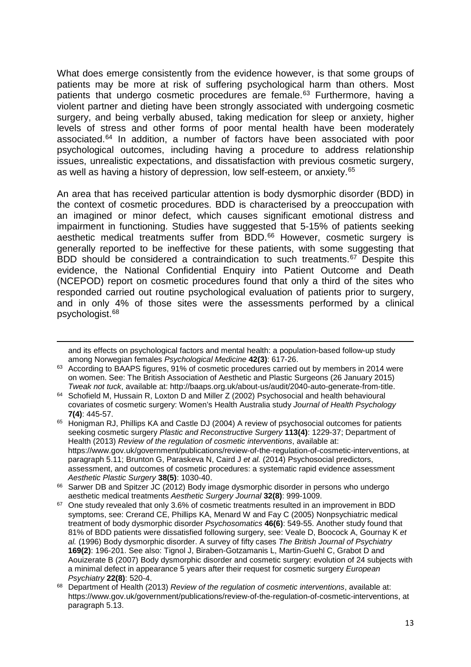What does emerge consistently from the evidence however, is that some groups of patients may be more at risk of suffering psychological harm than others. Most patients that undergo cosmetic procedures are female.<sup>[63](#page-12-0)</sup> Furthermore, having a violent partner and dieting have been strongly associated with undergoing cosmetic surgery, and being verbally abused, taking medication for sleep or anxiety, higher levels of stress and other forms of poor mental health have been moderately associated.[64](#page-12-1) In addition, a number of factors have been associated with poor psychological outcomes, including having a procedure to address relationship issues, unrealistic expectations, and dissatisfaction with previous cosmetic surgery, as well as having a history of depression, low self-esteem, or anxiety.[65](#page-12-2)

An area that has received particular attention is body dysmorphic disorder (BDD) in the context of cosmetic procedures. BDD is characterised by a preoccupation with an imagined or minor defect, which causes significant emotional distress and impairment in functioning. Studies have suggested that 5-15% of patients seeking aesthetic medical treatments suffer from BDD.<sup>[66](#page-12-3)</sup> However, cosmetic surgery is generally reported to be ineffective for these patients, with some suggesting that BDD should be considered a contraindication to such treatments.<sup>[67](#page-12-4)</sup> Despite this evidence, the National Confidential Enquiry into Patient Outcome and Death (NCEPOD) report on cosmetic procedures found that only a third of the sites who responded carried out routine psychological evaluation of patients prior to surgery, and in only 4% of those sites were the assessments performed by a clinical psychologist.[68](#page-12-5)

**.** 

and its effects on psychological factors and mental health: a population-based follow-up study among Norwegian females *Psychological Medicine* **42(3)**: 617-26.

<span id="page-12-0"></span><sup>&</sup>lt;sup>63</sup> According to BAAPS figures, 91% of cosmetic procedures carried out by members in 2014 were on women. See: The British Association of Aesthetic and Plastic Surgeons (26 January 2015) *Tweak not tuck*, available at: http://baaps.org.uk/about-us/audit/2040-auto-generate-from-title.

<span id="page-12-1"></span><sup>64</sup> Schofield M, Hussain R, Loxton D and Miller Z (2002) Psychosocial and health behavioural covariates of cosmetic surgery: Women's Health Australia study *Journal of Health Psychology*  **7(4)**: 445-57.

<span id="page-12-2"></span><sup>&</sup>lt;sup>65</sup> Honigman RJ, Phillips KA and Castle DJ (2004) A review of psychosocial outcomes for patients seeking cosmetic surgery *Plastic and Reconstructive Surgery* **113(4)**: 1229-37; Department of Health (2013) *Review of the regulation of cosmetic interventions*, available at: https://www.gov.uk/government/publications/review-of-the-regulation-of-cosmetic-interventions, at paragraph 5.11; Brunton G, Paraskeva N, Caird J *et al.* (2014) Psychosocial predictors, assessment, and outcomes of cosmetic procedures: a systematic rapid evidence assessment *Aesthetic Plastic Surgery* **38(5)**: 1030-40.

<span id="page-12-3"></span><sup>&</sup>lt;sup>66</sup> Sarwer DB and Spitzer JC (2012) Body image dysmorphic disorder in persons who undergo aesthetic medical treatments *Aesthetic Surgery Journal* **32(8)**: 999-1009.

<span id="page-12-4"></span> $67$  One study revealed that only 3.6% of cosmetic treatments resulted in an improvement in BDD symptoms, see: Crerand CE, Phillips KA, Menard W and Fay C (2005) Nonpsychiatric medical treatment of body dysmorphic disorder *Psychosomatics* **46(6)**: 549-55. Another study found that 81% of BDD patients were dissatisfied following surgery, see: Veale D, Boocock A, Gournay K *et al.* (1996) Body dysmorphic disorder. A survey of fifty cases *The British Journal of Psychiatry*  **169(2)**: 196-201. See also: Tignol J, Biraben-Gotzamanis L, Martin-Guehl C, Grabot D and Aouizerate B (2007) Body dysmorphic disorder and cosmetic surgery: evolution of 24 subjects with a minimal defect in appearance 5 years after their request for cosmetic surgery *European Psychiatry* **22(8)**: 520-4.

<span id="page-12-5"></span><sup>68</sup> Department of Health (2013) *Review of the regulation of cosmetic interventions*, available at: https://www.gov.uk/government/publications/review-of-the-regulation-of-cosmetic-interventions, at paragraph 5.13.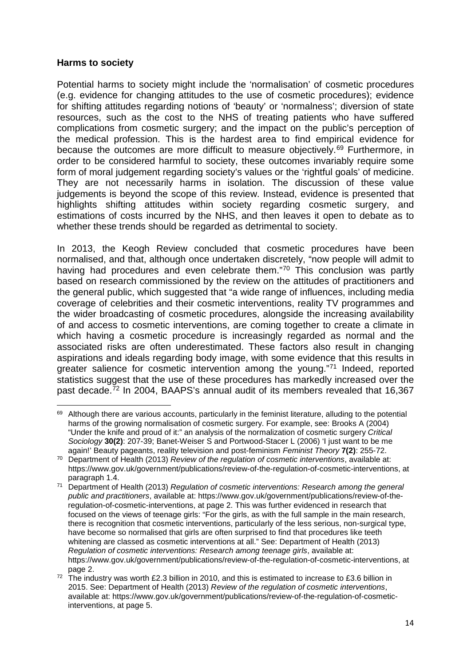#### **Harms to society**

 $\overline{a}$ 

Potential harms to society might include the 'normalisation' of cosmetic procedures (e.g. evidence for changing attitudes to the use of cosmetic procedures); evidence for shifting attitudes regarding notions of 'beauty' or 'normalness'; diversion of state resources, such as the cost to the NHS of treating patients who have suffered complications from cosmetic surgery; and the impact on the public's perception of the medical profession. This is the hardest area to find empirical evidence for because the outcomes are more difficult to measure objectively.[69](#page-13-0) Furthermore, in order to be considered harmful to society, these outcomes invariably require some form of moral judgement regarding society's values or the 'rightful goals' of medicine. They are not necessarily harms in isolation. The discussion of these value judgements is beyond the scope of this review. Instead, evidence is presented that highlights shifting attitudes within society regarding cosmetic surgery, and estimations of costs incurred by the NHS, and then leaves it open to debate as to whether these trends should be regarded as detrimental to society.

In 2013, the Keogh Review concluded that cosmetic procedures have been normalised, and that, although once undertaken discretely, "now people will admit to having had procedures and even celebrate them."[70](#page-13-1) This conclusion was partly based on research commissioned by the review on the attitudes of practitioners and the general public, which suggested that "a wide range of influences, including media coverage of celebrities and their cosmetic interventions, reality TV programmes and the wider broadcasting of cosmetic procedures, alongside the increasing availability of and access to cosmetic interventions, are coming together to create a climate in which having a cosmetic procedure is increasingly regarded as normal and the associated risks are often underestimated. These factors also result in changing aspirations and ideals regarding body image, with some evidence that this results in greater salience for cosmetic intervention among the young."[71](#page-13-2) Indeed, reported statistics suggest that the use of these procedures has markedly increased over the past decade.[72](#page-13-3) In 2004, BAAPS's annual audit of its members revealed that 16,367

<span id="page-13-0"></span><sup>&</sup>lt;sup>69</sup> Although there are various accounts, particularly in the feminist literature, alluding to the potential harms of the growing normalisation of cosmetic surgery. For example, see: Brooks A (2004) "Under the knife and proud of it:" an analysis of the normalization of cosmetic surgery *Critical Sociology* **30(2)**: 207-39; Banet-Weiser S and Portwood-Stacer L (2006) 'I just want to be me again!' Beauty pageants, reality television and post-feminism *Feminist Theory* **7(2)**: 255-72.

<span id="page-13-1"></span><sup>70</sup> Department of Health (2013) *Review of the regulation of cosmetic interventions*, available at: https://www.gov.uk/government/publications/review-of-the-regulation-of-cosmetic-interventions, at paragraph 1.4.

<span id="page-13-2"></span><sup>71</sup> Department of Health (2013) *Regulation of cosmetic interventions: Research among the general public and practitioners*, available at: https://www.gov.uk/government/publications/review-of-theregulation-of-cosmetic-interventions, at page 2. This was further evidenced in research that focused on the views of teenage girls: "For the girls, as with the full sample in the main research, there is recognition that cosmetic interventions, particularly of the less serious, non-surgical type, have become so normalised that girls are often surprised to find that procedures like teeth whitening are classed as cosmetic interventions at all." See: Department of Health (2013) *Regulation of cosmetic interventions: Research among teenage girls*, available at: https://www.gov.uk/government/publications/review-of-the-regulation-of-cosmetic-interventions, at page 2.

<span id="page-13-3"></span><sup>&</sup>lt;sup>72</sup> The industry was worth £2.3 billion in 2010, and this is estimated to increase to £3.6 billion in 2015. See: Department of Health (2013) *Review of the regulation of cosmetic interventions*, available at: https://www.gov.uk/government/publications/review-of-the-regulation-of-cosmeticinterventions, at page 5.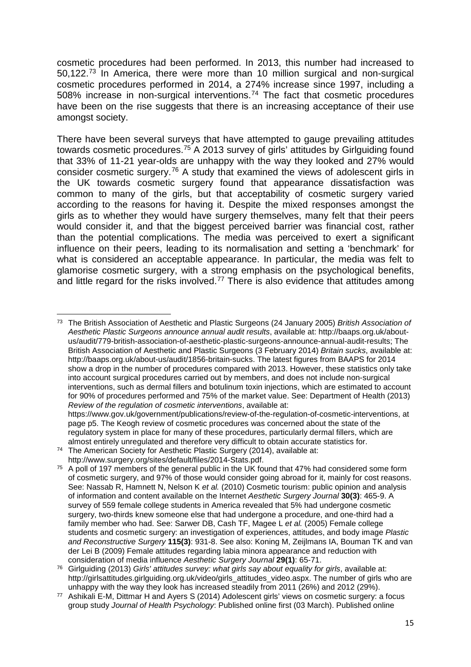cosmetic procedures had been performed. In 2013, this number had increased to 50,122.[73](#page-14-0) In America, there were more than 10 million surgical and non-surgical cosmetic procedures performed in 2014, a 274% increase since 1997, including a 508% increase in non-surgical interventions.[74](#page-14-1) The fact that cosmetic procedures have been on the rise suggests that there is an increasing acceptance of their use amongst society.

There have been several surveys that have attempted to gauge prevailing attitudes towards cosmetic procedures.[75](#page-14-2) A 2013 survey of girls' attitudes by Girlguiding found that 33% of 11-21 year-olds are unhappy with the way they looked and 27% would consider cosmetic surgery.[76](#page-14-3) A study that examined the views of adolescent girls in the UK towards cosmetic surgery found that appearance dissatisfaction was common to many of the girls, but that acceptability of cosmetic surgery varied according to the reasons for having it. Despite the mixed responses amongst the girls as to whether they would have surgery themselves, many felt that their peers would consider it, and that the biggest perceived barrier was financial cost, rather than the potential complications. The media was perceived to exert a significant influence on their peers, leading to its normalisation and setting a 'benchmark' for what is considered an acceptable appearance. In particular, the media was felt to glamorise cosmetic surgery, with a strong emphasis on the psychological benefits, and little regard for the risks involved.<sup>[77](#page-14-4)</sup> There is also evidence that attitudes among

regulatory system in place for many of these procedures, particularly dermal fillers, which are almost entirely unregulated and therefore very difficult to obtain accurate statistics for.

<span id="page-14-0"></span> $\overline{a}$ <sup>73</sup> The British Association of Aesthetic and Plastic Surgeons (24 January 2005) *British Association of Aesthetic Plastic Surgeons announce annual audit results*, available at: http://baaps.org.uk/aboutus/audit/779-british-association-of-aesthetic-plastic-surgeons-announce-annual-audit-results; The British Association of Aesthetic and Plastic Surgeons (3 February 2014) *Britain sucks*, available at: http://baaps.org.uk/about-us/audit/1856-britain-sucks. The latest figures from BAAPS for 2014 show a drop in the number of procedures compared with 2013. However, these statistics only take into account surgical procedures carried out by members, and does not include non-surgical interventions, such as dermal fillers and botulinum toxin injections, which are estimated to account for 90% of procedures performed and 75% of the market value. See: Department of Health (2013) *Review of the regulation of cosmetic interventions*, available at: https://www.gov.uk/government/publications/review-of-the-regulation-of-cosmetic-interventions, at page p5. The Keogh review of cosmetic procedures was concerned about the state of the

<span id="page-14-1"></span><sup>74</sup> The American Society for Aesthetic Plastic Surgery (2014), available at: http://www.surgery.org/sites/default/files/2014-Stats.pdf.

<span id="page-14-2"></span><sup>&</sup>lt;sup>75</sup> A poll of 197 members of the general public in the UK found that 47% had considered some form of cosmetic surgery, and 97% of those would consider going abroad for it, mainly for cost reasons. See: Nassab R, Hamnett N, Nelson K *et al.* (2010) Cosmetic tourism: public opinion and analysis of information and content available on the Internet *Aesthetic Surgery Journal* **30(3)**: 465-9. A survey of 559 female college students in America revealed that 5% had undergone cosmetic surgery, two-thirds knew someone else that had undergone a procedure, and one-third had a family member who had. See: Sarwer DB, Cash TF, Magee L *et al.* (2005) Female college students and cosmetic surgery: an investigation of experiences, attitudes, and body image *Plastic and Reconstructive Surgery* **115(3)**: 931-8. See also: Koning M, Zeijlmans IA, Bouman TK and van der Lei B (2009) Female attitudes regarding labia minora appearance and reduction with consideration of media influence *Aesthetic Surgery Journal* **29(1)**: 65-71.

<span id="page-14-3"></span><sup>76</sup> Girlguiding (2013) *Girls' attitudes survey: what girls say about equality for girls*, available at: http://girlsattitudes.girlguiding.org.uk/video/girls\_attitudes\_video.aspx. The number of girls who are unhappy with the way they look has increased steadily from 2011 (26%) and 2012 (29%).

<span id="page-14-4"></span><sup>77</sup> Ashikali E-M, Dittmar H and Ayers S (2014) Adolescent girls' views on cosmetic surgery: a focus group study *Journal of Health Psychology*: Published online first (03 March). Published online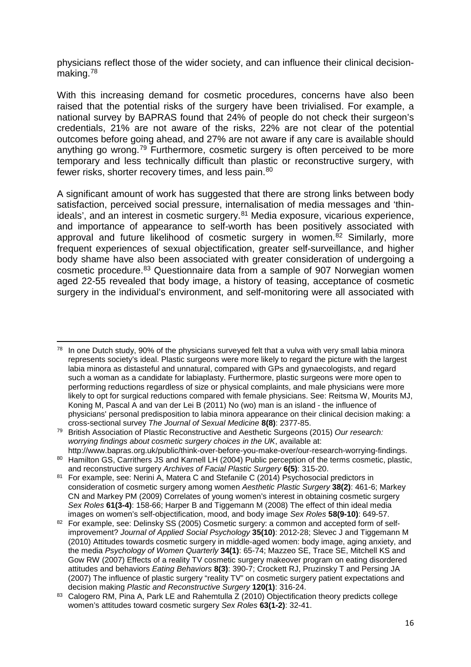physicians reflect those of the wider society, and can influence their clinical decisionmaking[.78](#page-15-0)

With this increasing demand for cosmetic procedures, concerns have also been raised that the potential risks of the surgery have been trivialised. For example, a national survey by BAPRAS found that 24% of people do not check their surgeon's credentials, 21% are not aware of the risks, 22% are not clear of the potential outcomes before going ahead, and 27% are not aware if any care is available should anything go wrong.<sup>[79](#page-15-1)</sup> Furthermore, cosmetic surgery is often perceived to be more temporary and less technically difficult than plastic or reconstructive surgery, with fewer risks, shorter recovery times, and less pain.<sup>[80](#page-15-2)</sup>

A significant amount of work has suggested that there are strong links between body satisfaction, perceived social pressure, internalisation of media messages and 'thin-ideals', and an interest in cosmetic surgery.<sup>[81](#page-15-3)</sup> Media exposure, vicarious experience, and importance of appearance to self-worth has been positively associated with approval and future likelihood of cosmetic surgery in women.<sup>[82](#page-15-4)</sup> Similarly, more frequent experiences of sexual objectification, greater self-surveillance, and higher body shame have also been associated with greater consideration of undergoing a cosmetic procedure.[83](#page-15-5) Questionnaire data from a sample of 907 Norwegian women aged 22-55 revealed that body image, a history of teasing, acceptance of cosmetic surgery in the individual's environment, and self-monitoring were all associated with

**.** 

<span id="page-15-0"></span><sup>&</sup>lt;sup>78</sup> In one Dutch study, 90% of the physicians surveyed felt that a vulva with very small labia minora represents society's ideal. Plastic surgeons were more likely to regard the picture with the largest labia minora as distasteful and unnatural, compared with GPs and gynaecologists, and regard such a woman as a candidate for labiaplasty. Furthermore, plastic surgeons were more open to performing reductions regardless of size or physical complaints, and male physicians were more likely to opt for surgical reductions compared with female physicians. See: Reitsma W, Mourits MJ, Koning M, Pascal A and van der Lei B (2011) No (wo) man is an island - the influence of physicians' personal predisposition to labia minora appearance on their clinical decision making: a cross-sectional survey *The Journal of Sexual Medicine* **8(8)**: 2377-85.

<span id="page-15-1"></span><sup>79</sup> British Association of Plastic Reconstructive and Aesthetic Surgeons (2015) *Our research: worrying findings about cosmetic surgery choices in the UK*, available at: http://www.bapras.org.uk/public/think-over-before-you-make-over/our-research-worrying-findings.

<span id="page-15-2"></span><sup>80</sup> Hamilton GS, Carrithers JS and Karnell LH (2004) Public perception of the terms cosmetic, plastic, and reconstructive surgery *Archives of Facial Plastic Surgery* **6(5)**: 315-20.

<span id="page-15-3"></span><sup>81</sup> For example, see: Nerini A, Matera C and Stefanile C (2014) Psychosocial predictors in consideration of cosmetic surgery among women *Aesthetic Plastic Surgery* **38(2)**: 461-6; Markey CN and Markey PM (2009) Correlates of young women's interest in obtaining cosmetic surgery *Sex Roles* **61(3-4)**: 158-66; Harper B and Tiggemann M (2008) The effect of thin ideal media images on women's self-objectification, mood, and body image *Sex Roles* **58(9-10)**: 649-57.

<span id="page-15-4"></span><sup>82</sup> For example, see: Delinsky SS (2005) Cosmetic surgery: a common and accepted form of selfimprovement? *Journal of Applied Social Psychology* **35(10)**: 2012-28; Slevec J and Tiggemann M (2010) Attitudes towards cosmetic surgery in middle-aged women: body image, aging anxiety, and the media *Psychology of Women Quarterly* **34(1)**: 65-74; Mazzeo SE, Trace SE, Mitchell KS and Gow RW (2007) Effects of a reality TV cosmetic surgery makeover program on eating disordered attitudes and behaviors *Eating Behaviors* **8(3)**: 390-7; Crockett RJ, Pruzinsky T and Persing JA (2007) The influence of plastic surgery "reality TV" on cosmetic surgery patient expectations and decision making *Plastic and Reconstructive Surgery* **120(1)**: 316-24.

<span id="page-15-5"></span><sup>83</sup> Calogero RM, Pina A, Park LE and Rahemtulla Z (2010) Objectification theory predicts college women's attitudes toward cosmetic surgery *Sex Roles* **63(1-2)**: 32-41.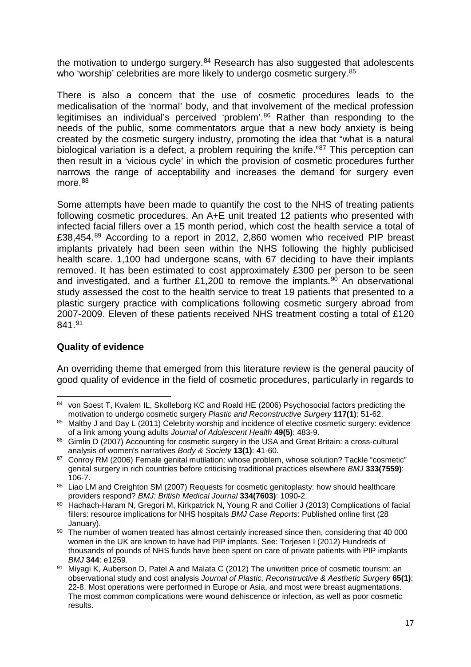the motivation to undergo surgery. $84$  Research has also suggested that adolescents who 'worship' celebrities are more likely to undergo cosmetic surgery.<sup>[85](#page-16-1)</sup>

There is also a concern that the use of cosmetic procedures leads to the medicalisation of the 'normal' body, and that involvement of the medical profession legitimises an individual's perceived 'problem'.<sup>[86](#page-16-2)</sup> Rather than responding to the needs of the public, some commentators argue that a new body anxiety is being created by the cosmetic surgery industry, promoting the idea that "what is a natural biological variation is a defect, a problem requiring the knife.<sup>"[87](#page-16-3)</sup> This perception can then result in a 'vicious cycle' in which the provision of cosmetic procedures further narrows the range of acceptability and increases the demand for surgery even more.<sup>[88](#page-16-4)</sup>

Some attempts have been made to quantify the cost to the NHS of treating patients following cosmetic procedures. An A+E unit treated 12 patients who presented with infected facial fillers over a 15 month period, which cost the health service a total of £38,454.[89](#page-16-5) According to a report in 2012, 2,860 women who received PIP breast implants privately had been seen within the NHS following the highly publicised health scare. 1,100 had undergone scans, with 67 deciding to have their implants removed. It has been estimated to cost approximately £300 per person to be seen and investigated, and a further £1,200 to remove the implants.<sup>[90](#page-16-6)</sup> An observational study assessed the cost to the health service to treat 19 patients that presented to a plastic surgery practice with complications following cosmetic surgery abroad from 2007-2009. Eleven of these patients received NHS treatment costing a total of £120 841.[91](#page-16-7)

# **Quality of evidence**

**.** 

An overriding theme that emerged from this literature review is the general paucity of good quality of evidence in the field of cosmetic procedures, particularly in regards to

<span id="page-16-0"></span><sup>84</sup> von Soest T, Kvalem IL, Skolleborg KC and Roald HE (2006) Psychosocial factors predicting the motivation to undergo cosmetic surgery *Plastic and Reconstructive Surgery* **117(1)**: 51-62.

<span id="page-16-1"></span><sup>85</sup> Maltby J and Day L (2011) Celebrity worship and incidence of elective cosmetic surgery: evidence of a link among young adults *Journal of Adolescent Health* **49(5)**: 483-9.

<span id="page-16-2"></span><sup>86</sup> Gimlin D (2007) Accounting for cosmetic surgery in the USA and Great Britain: a cross-cultural analysis of women's narratives *Body & Society* **13(1)**: 41-60.

<span id="page-16-3"></span><sup>87</sup> Conroy RM (2006) Female genital mutilation: whose problem, whose solution? Tackle "cosmetic" genital surgery in rich countries before criticising traditional practices elsewhere *BMJ* **333(7559)**: 106-7.

<span id="page-16-4"></span><sup>88</sup> Liao LM and Creighton SM (2007) Requests for cosmetic genitoplasty: how should healthcare providers respond? *BMJ: British Medical Journal* **334(7603)**: 1090-2.

<span id="page-16-5"></span><sup>89</sup> Hachach-Haram N, Gregori M, Kirkpatrick N, Young R and Collier J (2013) Complications of facial fillers: resource implications for NHS hospitals *BMJ Case Reports*: Published online first (28 January).

<span id="page-16-6"></span><sup>90</sup> The number of women treated has almost certainly increased since then, considering that 40 000 women in the UK are known to have had PIP implants. See: Torjesen I (2012) Hundreds of thousands of pounds of NHS funds have been spent on care of private patients with PIP implants *BMJ* **344**: e1259.

<span id="page-16-7"></span><sup>91</sup> Mivagi K, Auberson D, Patel A and Malata C (2012) The unwritten price of cosmetic tourism: an observational study and cost analysis *Journal of Plastic, Reconstructive & Aesthetic Surgery* **65(1)**: 22-8. Most operations were performed in Europe or Asia, and most were breast augmentations. The most common complications were wound dehiscence or infection, as well as poor cosmetic results.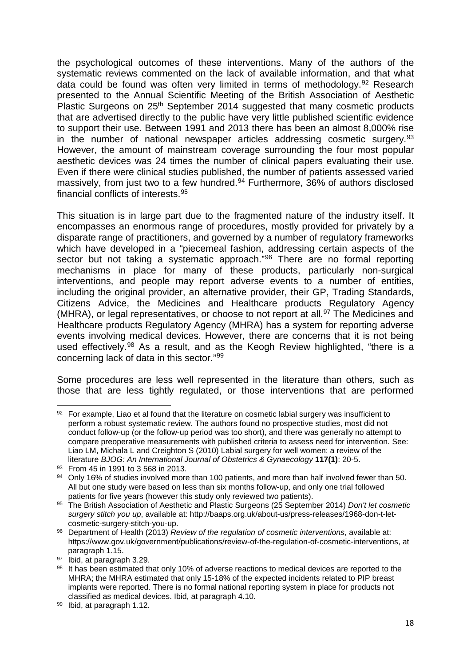the psychological outcomes of these interventions. Many of the authors of the systematic reviews commented on the lack of available information, and that what data could be found was often very limited in terms of methodology.[92](#page-17-0) Research presented to the Annual Scientific Meeting of the British Association of Aesthetic Plastic Surgeons on 25<sup>th</sup> September 2014 suggested that many cosmetic products that are advertised directly to the public have very little published scientific evidence to support their use. Between 1991 and 2013 there has been an almost 8,000% rise in the number of national newspaper articles addressing cosmetic surgery.<sup>[93](#page-17-1)</sup> However, the amount of mainstream coverage surrounding the four most popular aesthetic devices was 24 times the number of clinical papers evaluating their use. Even if there were clinical studies published, the number of patients assessed varied massively, from just two to a few hundred.<sup>[94](#page-17-2)</sup> Furthermore, 36% of authors disclosed financial conflicts of interests.[95](#page-17-3)

This situation is in large part due to the fragmented nature of the industry itself. It encompasses an enormous range of procedures, mostly provided for privately by a disparate range of practitioners, and governed by a number of regulatory frameworks which have developed in a "piecemeal fashion, addressing certain aspects of the sector but not taking a systematic approach."<sup>[96](#page-17-4)</sup> There are no formal reporting mechanisms in place for many of these products, particularly non-surgical interventions, and people may report adverse events to a number of entities, including the original provider, an alternative provider, their GP, Trading Standards, Citizens Advice, the Medicines and Healthcare products Regulatory Agency (MHRA), or legal representatives, or choose to not report at all.<sup>[97](#page-17-5)</sup> The Medicines and Healthcare products Regulatory Agency (MHRA) has a system for reporting adverse events involving medical devices. However, there are concerns that it is not being used effectively.<sup>[98](#page-17-6)</sup> As a result, and as the Keogh Review highlighted, "there is a concerning lack of data in this sector."[99](#page-17-7)

Some procedures are less well represented in the literature than others, such as those that are less tightly regulated, or those interventions that are performed

 $\overline{a}$ 

<span id="page-17-0"></span><sup>92</sup> For example, Liao et al found that the literature on cosmetic labial surgery was insufficient to perform a robust systematic review. The authors found no prospective studies, most did not conduct follow-up (or the follow-up period was too short), and there was generally no attempt to compare preoperative measurements with published criteria to assess need for intervention. See: Liao LM, Michala L and Creighton S (2010) Labial surgery for well women: a review of the literature *BJOG: An International Journal of Obstetrics & Gynaecology* **117(1)**: 20-5.

<span id="page-17-1"></span><sup>93</sup> From 45 in 1991 to 3 568 in 2013.

<span id="page-17-2"></span> $94$  Only 16% of studies involved more than 100 patients, and more than half involved fewer than 50. All but one study were based on less than six months follow-up, and only one trial followed patients for five years (however this study only reviewed two patients).

<span id="page-17-3"></span><sup>95</sup> The British Association of Aesthetic and Plastic Surgeons (25 September 2014) *Don't let cosmetic surgery stitch you up*, available at: http://baaps.org.uk/about-us/press-releases/1968-don-t-letcosmetic-surgery-stitch-you-up.

<span id="page-17-4"></span><sup>96</sup> Department of Health (2013) *Review of the regulation of cosmetic interventions*, available at: https://www.gov.uk/government/publications/review-of-the-regulation-of-cosmetic-interventions, at paragraph 1.15.

<span id="page-17-5"></span><sup>97</sup> Ibid, at paragraph 3.29.

<span id="page-17-6"></span><sup>98</sup> It has been estimated that only 10% of adverse reactions to medical devices are reported to the MHRA; the MHRA estimated that only 15-18% of the expected incidents related to PIP breast implants were reported. There is no formal national reporting system in place for products not classified as medical devices. Ibid, at paragraph 4.10.

<span id="page-17-7"></span><sup>99</sup> Ibid, at paragraph 1.12.